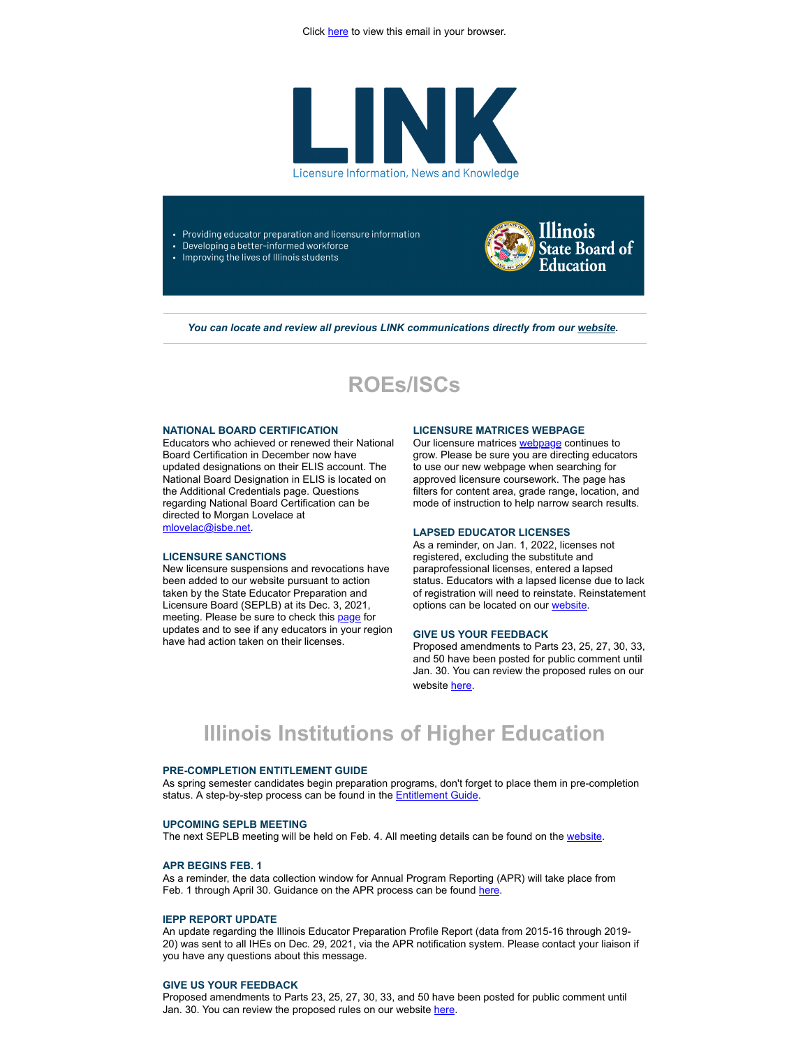

- Providing educator preparation and licensure information
- Developing a better-informed workforce
- Improving the lives of Illinois students



You can locate and review all previous LINK communications directly from our *[website](http://link.isbe.net/c/7/eyJhaSI6OTAyMDg4NDQsImUiOiJtbG92ZWxhY0Bpc2JlLm5ldCIsInJpIjoiY29udGFjdC02NTIxMDIyOGU1MWJlYzExYjZlNjAwMGQzYTMzNjBlNC1mNmZkNzY2NmZjYzk0N2I5OTZlZTJiYWM1ZjMxMzZkZCIsInJxIjoiMDItYjIyMDE4LWEzYjc5MmZjNGM2YjQ3MzdhM2ZjNmY3MWUxOTdkZjNjIiwicGgiOm51bGwsIm0iOnRydWUsInVpIjoiMiIsInVuIjoiIiwidSI6Imh0dHBzOi8vd3d3LmlzYmUubmV0L1BhZ2VzL0xpY2Vuc3VyZS5hc3B4P19jbGRlZT1iV3h2ZG1Wc1lXTkFhWE5pWlM1dVpYUSUzZCZyZWNpcGllbnRpZD1jb250YWN0LTY1MjEwMjI4ZTUxYmVjMTFiNmU2MDAwZDNhMzM2MGU0LWY2ZmQ3NjY2ZmNjOTQ3Yjk5NmVlMmJhYzVmMzEzNmRkJmVzaWQ9ODdiYjI3OWMtNzE3NS1lYzExLTg5NDMtMDAwZDNhMzRhZjY4In0/a51fNT3VILIjYlYC5YHu3g)*.

## **ROEs/ISCs**

### **NATIONAL BOARD CERTIFICATION**

Educators who achieved or renewed their National Board Certification in December now have updated designations on their ELIS account. The National Board Designation in ELIS is located on the Additional Credentials page. Questions regarding National Board Certification can be directed to Morgan Lovelace at [mlovelac@isbe.net](mailto:mlovelac@isbe.net).

## **LICENSURE SANCTIONS**

New licensure suspensions and revocations have been added to our website pursuant to action taken by the State Educator Preparation and Licensure Board (SEPLB) at its Dec. 3, 2021, meeting. Please be sure to check this [page](http://link.isbe.net/c/7/eyJhaSI6OTAyMDg4NDQsImUiOiJtbG92ZWxhY0Bpc2JlLm5ldCIsInJpIjoiY29udGFjdC02NTIxMDIyOGU1MWJlYzExYjZlNjAwMGQzYTMzNjBlNC1mNmZkNzY2NmZjYzk0N2I5OTZlZTJiYWM1ZjMxMzZkZCIsInJxIjoiMDItYjIyMDE4LWEzYjc5MmZjNGM2YjQ3MzdhM2ZjNmY3MWUxOTdkZjNjIiwicGgiOm51bGwsIm0iOnRydWUsInVpIjoiMyIsInVuIjoiIiwidSI6Imh0dHBzOi8vd3d3LmlzYmUubmV0L2VkdWNhdG9ycXVhbGl0eT9fY2xkZWU9Yld4dmRtVnNZV05BYVhOaVpTNXVaWFElM2QmcmVjaXBpZW50aWQ9Y29udGFjdC02NTIxMDIyOGU1MWJlYzExYjZlNjAwMGQzYTMzNjBlNC1mNmZkNzY2NmZjYzk0N2I5OTZlZTJiYWM1ZjMxMzZkZCZlc2lkPTg3YmIyNzljLTcxNzUtZWMxMS04OTQzLTAwMGQzYTM0YWY2OCJ9/HyYY5mmbr7ANG_e4eIlPLA) for updates and to see if any educators in your region have had action taken on their licenses.

### **LICENSURE MATRICES WEBPAGE**

Our licensure matrices **[webpage](http://link.isbe.net/c/7/eyJhaSI6OTAyMDg4NDQsImUiOiJtbG92ZWxhY0Bpc2JlLm5ldCIsInJpIjoiY29udGFjdC02NTIxMDIyOGU1MWJlYzExYjZlNjAwMGQzYTMzNjBlNC1mNmZkNzY2NmZjYzk0N2I5OTZlZTJiYWM1ZjMxMzZkZCIsInJxIjoiMDItYjIyMDE4LWEzYjc5MmZjNGM2YjQ3MzdhM2ZjNmY3MWUxOTdkZjNjIiwicGgiOm51bGwsIm0iOnRydWUsInVpIjoiNCIsInVuIjoiIiwidSI6Imh0dHBzOi8vd3d3LmlzYmUubmV0L1BhZ2VzL0xpY2Vuc3VyZS1BcHByb3ZlZC1Db3Vyc2V3b3JrLmFzcHg_X2NsZGVlPWJXeHZkbVZzWVdOQWFYTmlaUzV1WlhRJTNkJnJlY2lwaWVudGlkPWNvbnRhY3QtNjUyMTAyMjhlNTFiZWMxMWI2ZTYwMDBkM2EzMzYwZTQtZjZmZDc2NjZmY2M5NDdiOTk2ZWUyYmFjNWYzMTM2ZGQmZXNpZD04N2JiMjc5Yy03MTc1LWVjMTEtODk0My0wMDBkM2EzNGFmNjgifQ/xi-zpui28D08LRViBBDyqg)** continues to grow. Please be sure you are directing educators to use our new webpage when searching for approved licensure coursework. The page has filters for content area, grade range, location, and mode of instruction to help narrow search results.

## **LAPSED EDUCATOR LICENSES**

As a reminder, on Jan. 1, 2022, licenses not registered, excluding the substitute and paraprofessional licenses, entered a lapsed status. Educators with a lapsed license due to lack of registration will need to reinstate. Reinstatement options can be located on our [website.](http://link.isbe.net/c/7/eyJhaSI6OTAyMDg4NDQsImUiOiJtbG92ZWxhY0Bpc2JlLm5ldCIsInJpIjoiY29udGFjdC02NTIxMDIyOGU1MWJlYzExYjZlNjAwMGQzYTMzNjBlNC1mNmZkNzY2NmZjYzk0N2I5OTZlZTJiYWM1ZjMxMzZkZCIsInJxIjoiMDItYjIyMDE4LWEzYjc5MmZjNGM2YjQ3MzdhM2ZjNmY3MWUxOTdkZjNjIiwicGgiOm51bGwsIm0iOnRydWUsInVpIjoiNSIsInVuIjoiIiwidSI6Imh0dHBzOi8vd3d3LmlzYmUubmV0L1BhZ2VzL1JlaW5zdGF0ZW1lbnQuYXNweD9fY2xkZWU9Yld4dmRtVnNZV05BYVhOaVpTNXVaWFElM2QmcmVjaXBpZW50aWQ9Y29udGFjdC02NTIxMDIyOGU1MWJlYzExYjZlNjAwMGQzYTMzNjBlNC1mNmZkNzY2NmZjYzk0N2I5OTZlZTJiYWM1ZjMxMzZkZCZlc2lkPTg3YmIyNzljLTcxNzUtZWMxMS04OTQzLTAwMGQzYTM0YWY2OCJ9/1-oNTDo0p-Lhu5cT4hHMQA)

### **GIVE US YOUR FEEDBACK**

Proposed amendments to Parts 23, 25, 27, 30, 33, and 50 have been posted for public comment until Jan. 30. You can review the proposed rules on our website [here.](http://link.isbe.net/c/7/eyJhaSI6OTAyMDg4NDQsImUiOiJtbG92ZWxhY0Bpc2JlLm5ldCIsInJpIjoiY29udGFjdC02NTIxMDIyOGU1MWJlYzExYjZlNjAwMGQzYTMzNjBlNC1mNmZkNzY2NmZjYzk0N2I5OTZlZTJiYWM1ZjMxMzZkZCIsInJxIjoiMDItYjIyMDE4LWEzYjc5MmZjNGM2YjQ3MzdhM2ZjNmY3MWUxOTdkZjNjIiwicGgiOm51bGwsIm0iOnRydWUsInVpIjoiNiIsInVuIjoiIiwidSI6Imh0dHBzOi8vd3d3LmlzYmUubmV0L1BhZ2VzL1Byb3Bvc2VkLVJ1bGVzLWFuZC1BbWVuZG1lbnRzLmFzcHg_X2NsZGVlPWJXeHZkbVZzWVdOQWFYTmlaUzV1WlhRJTNkJnJlY2lwaWVudGlkPWNvbnRhY3QtNjUyMTAyMjhlNTFiZWMxMWI2ZTYwMDBkM2EzMzYwZTQtZjZmZDc2NjZmY2M5NDdiOTk2ZWUyYmFjNWYzMTM2ZGQmZXNpZD04N2JiMjc5Yy03MTc1LWVjMTEtODk0My0wMDBkM2EzNGFmNjgifQ/WondJzs6JdJwXRLopESHeQ)

# **Illinois Institutions of Higher Education**

## **PRE-COMPLETION ENTITLEMENT GUIDE**

As spring semester candidates begin preparation programs, don't forget to place them in pre-completion status. A step-by-step process can be found in the [Entitlement Guide.](http://link.isbe.net/c/7/eyJhaSI6OTAyMDg4NDQsImUiOiJtbG92ZWxhY0Bpc2JlLm5ldCIsInJpIjoiY29udGFjdC02NTIxMDIyOGU1MWJlYzExYjZlNjAwMGQzYTMzNjBlNC1mNmZkNzY2NmZjYzk0N2I5OTZlZTJiYWM1ZjMxMzZkZCIsInJxIjoiMDItYjIyMDE4LWEzYjc5MmZjNGM2YjQ3MzdhM2ZjNmY3MWUxOTdkZjNjIiwicGgiOm51bGwsIm0iOnRydWUsInVpIjoiNyIsInVuIjoiIiwidSI6Imh0dHBzOi8vd3d3LmlzYmUubmV0L2RvY3VtZW50cy9oaWdoZXItZWQtZW50aXRsZW1lbnQtd2l6YXJkLnBkZj9fY2xkZWU9Yld4dmRtVnNZV05BYVhOaVpTNXVaWFElM2QmcmVjaXBpZW50aWQ9Y29udGFjdC02NTIxMDIyOGU1MWJlYzExYjZlNjAwMGQzYTMzNjBlNC1mNmZkNzY2NmZjYzk0N2I5OTZlZTJiYWM1ZjMxMzZkZCZlc2lkPTg3YmIyNzljLTcxNzUtZWMxMS04OTQzLTAwMGQzYTM0YWY2OCJ9/zVsj0vQkPbIr5QTqip0iGg)

#### **UPCOMING SEPLB MEETING**

The next SEPLB meeting will be held on Feb. 4. All meeting details can be found on the [website](http://link.isbe.net/c/7/eyJhaSI6OTAyMDg4NDQsImUiOiJtbG92ZWxhY0Bpc2JlLm5ldCIsInJpIjoiY29udGFjdC02NTIxMDIyOGU1MWJlYzExYjZlNjAwMGQzYTMzNjBlNC1mNmZkNzY2NmZjYzk0N2I5OTZlZTJiYWM1ZjMxMzZkZCIsInJxIjoiMDItYjIyMDE4LWEzYjc5MmZjNGM2YjQ3MzdhM2ZjNmY3MWUxOTdkZjNjIiwicGgiOm51bGwsIm0iOnRydWUsInVpIjoiOCIsInVuIjoiIiwidSI6Imh0dHBzOi8vd3d3LmlzYmUubmV0L1BhZ2VzL1N0YXRlLUVkdWNhdG9yLVByZXBhcmF0aW9uLWFuZC1MaWNlbnN1cmUtQm9hcmQuYXNweD9fY2xkZWU9Yld4dmRtVnNZV05BYVhOaVpTNXVaWFElM2QmcmVjaXBpZW50aWQ9Y29udGFjdC02NTIxMDIyOGU1MWJlYzExYjZlNjAwMGQzYTMzNjBlNC1mNmZkNzY2NmZjYzk0N2I5OTZlZTJiYWM1ZjMxMzZkZCZlc2lkPTg3YmIyNzljLTcxNzUtZWMxMS04OTQzLTAwMGQzYTM0YWY2OCJ9/jUBeRXSCsmUxTN54gQZupw).

### **APR BEGINS FEB. 1**

As a reminder, the data collection window for Annual Program Reporting (APR) will take place from Feb. 1 through April 30. Guidance on the APR process can be found [here.](http://link.isbe.net/c/7/eyJhaSI6OTAyMDg4NDQsImUiOiJtbG92ZWxhY0Bpc2JlLm5ldCIsInJpIjoiY29udGFjdC02NTIxMDIyOGU1MWJlYzExYjZlNjAwMGQzYTMzNjBlNC1mNmZkNzY2NmZjYzk0N2I5OTZlZTJiYWM1ZjMxMzZkZCIsInJxIjoiMDItYjIyMDE4LWEzYjc5MmZjNGM2YjQ3MzdhM2ZjNmY3MWUxOTdkZjNjIiwicGgiOm51bGwsIm0iOnRydWUsInVpIjoiOSIsInVuIjoiIiwidSI6Imh0dHBzOi8vd3d3LmlzYmUubmV0L1BhZ2VzL0FubnVhbC1Qcm9ncmFtLVJlcG9ydGluZy5hc3B4P19jbGRlZT1iV3h2ZG1Wc1lXTkFhWE5pWlM1dVpYUSUzZCZyZWNpcGllbnRpZD1jb250YWN0LTY1MjEwMjI4ZTUxYmVjMTFiNmU2MDAwZDNhMzM2MGU0LWY2ZmQ3NjY2ZmNjOTQ3Yjk5NmVlMmJhYzVmMzEzNmRkJmVzaWQ9ODdiYjI3OWMtNzE3NS1lYzExLTg5NDMtMDAwZDNhMzRhZjY4In0/-Q6dBX9sOeDhE0OD9Kk1zw)

## **IEPP REPORT UPDATE**

An update regarding the Illinois Educator Preparation Profile Report (data from 2015-16 through 2019- 20) was sent to all IHEs on Dec. 29, 2021, via the APR notification system. Please contact your liaison if you have any questions about this message.

#### **GIVE US YOUR FEEDBACK**

Proposed amendments to Parts 23, 25, 27, 30, 33, and 50 have been posted for public comment until Jan. 30. You can review the proposed rules on our website [here.](http://link.isbe.net/c/7/eyJhaSI6OTAyMDg4NDQsImUiOiJtbG92ZWxhY0Bpc2JlLm5ldCIsInJpIjoiY29udGFjdC02NTIxMDIyOGU1MWJlYzExYjZlNjAwMGQzYTMzNjBlNC1mNmZkNzY2NmZjYzk0N2I5OTZlZTJiYWM1ZjMxMzZkZCIsInJxIjoiMDItYjIyMDE4LWEzYjc5MmZjNGM2YjQ3MzdhM2ZjNmY3MWUxOTdkZjNjIiwicGgiOm51bGwsIm0iOnRydWUsInVpIjoiMTAiLCJ1biI6IiIsInUiOiJodHRwczovL3d3dy5pc2JlLm5ldC9QYWdlcy9Qcm9wb3NlZC1SdWxlcy1hbmQtQW1lbmRtZW50cy5hc3B4P19jbGRlZT1iV3h2ZG1Wc1lXTkFhWE5pWlM1dVpYUSUzZCZyZWNpcGllbnRpZD1jb250YWN0LTY1MjEwMjI4ZTUxYmVjMTFiNmU2MDAwZDNhMzM2MGU0LWY2ZmQ3NjY2ZmNjOTQ3Yjk5NmVlMmJhYzVmMzEzNmRkJmVzaWQ9ODdiYjI3OWMtNzE3NS1lYzExLTg5NDMtMDAwZDNhMzRhZjY4In0/7MD1hxkwWjcRkoPZ_56bqA)